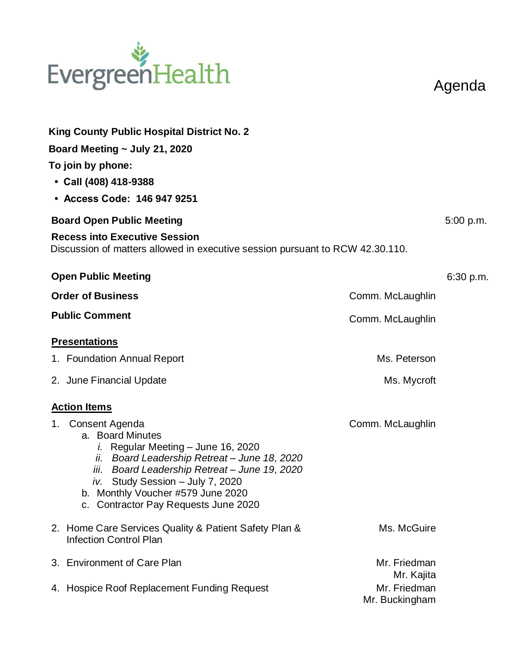## EvergreenHealth

Agenda

| <b>King County Public Hospital District No. 2</b><br>Board Meeting $\sim$ July 21, 2020<br>To join by phone:<br>• Call (408) 418-9388<br>• Access Code: 146 947 9251<br><b>Board Open Public Meeting</b><br><b>Recess into Executive Session</b>                                                        |                                | 5:00 p.m. |
|---------------------------------------------------------------------------------------------------------------------------------------------------------------------------------------------------------------------------------------------------------------------------------------------------------|--------------------------------|-----------|
| Discussion of matters allowed in executive session pursuant to RCW 42.30.110.                                                                                                                                                                                                                           |                                |           |
| <b>Open Public Meeting</b><br><b>Order of Business</b>                                                                                                                                                                                                                                                  | Comm. McLaughlin               | 6:30 p.m. |
| <b>Public Comment</b>                                                                                                                                                                                                                                                                                   | Comm. McLaughlin               |           |
| <b>Presentations</b>                                                                                                                                                                                                                                                                                    |                                |           |
| 1. Foundation Annual Report                                                                                                                                                                                                                                                                             | Ms. Peterson                   |           |
| 2. June Financial Update                                                                                                                                                                                                                                                                                | Ms. Mycroft                    |           |
| <b>Action Items</b>                                                                                                                                                                                                                                                                                     |                                |           |
| Consent Agenda<br>1.<br>a. Board Minutes<br><i>i.</i> Regular Meeting – June 16, 2020<br>ii. Board Leadership Retreat - June 18, 2020<br>iii. Board Leadership Retreat - June 19, 2020<br>iv. Study Session - July 7, 2020<br>b. Monthly Voucher #579 June 2020<br>c. Contractor Pay Requests June 2020 | Comm. McLaughlin               |           |
| 2. Home Care Services Quality & Patient Safety Plan &<br><b>Infection Control Plan</b>                                                                                                                                                                                                                  | Ms. McGuire                    |           |
| 3. Environment of Care Plan                                                                                                                                                                                                                                                                             | Mr. Friedman<br>Mr. Kajita     |           |
| 4. Hospice Roof Replacement Funding Request                                                                                                                                                                                                                                                             | Mr. Friedman<br>Mr. Buckingham |           |